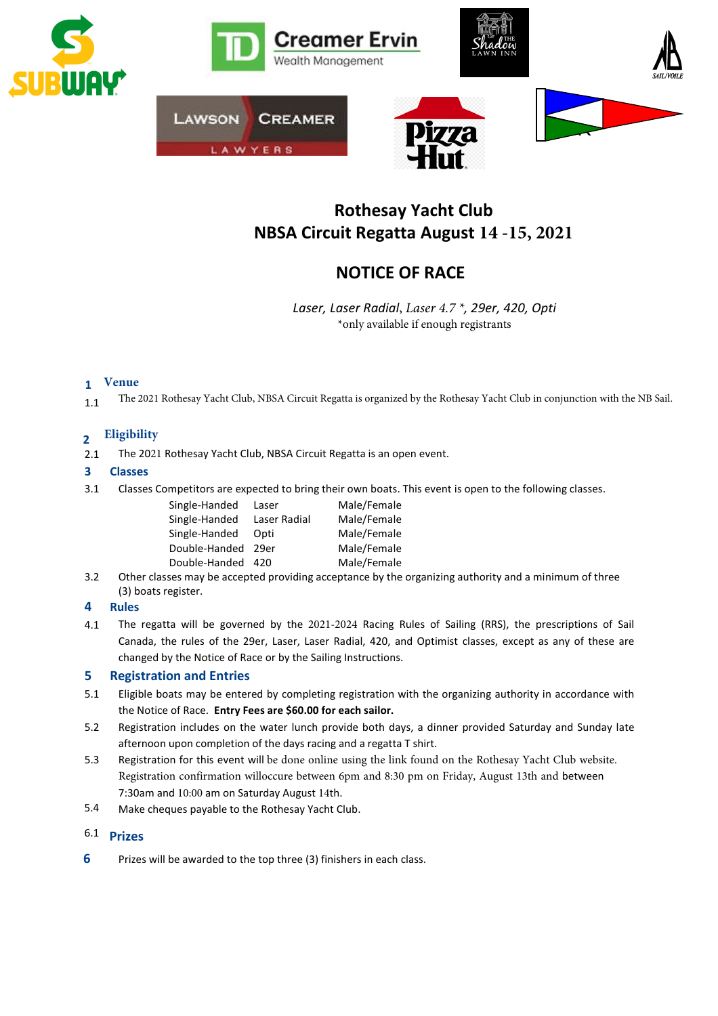

# Rothesay Yacht Club NBSA Circuit Regatta August **14 -15, 2021**

# NOTICE OF RACE

Laser, Laser Radial, *Laser 4.7 \**, 29er, 420, Opti \*only available if enough registrants

#### **Venue**  1

1.1 The 2021 Rothesay Yacht Club, NBSA Circuit Regatta is organized by the Rothesay Yacht Club in conjunction with the NB Sail.

#### $\overline{2}$ **Eligibility**

2.1 The 2021 Rothesay Yacht Club, NBSA Circuit Regatta is an open event.

#### 3 Classes

3.1 Classes Competitors are expected to bring their own boats. This event is open to the following classes.

| Single-Handed | Laser        | Male/Female |
|---------------|--------------|-------------|
| Single-Handed | Laser Radial | Male/Female |
| Single-Handed | Opti         | Male/Female |
| Double-Handed | 29er         | Male/Female |
| Double-Handed | 420          | Male/Female |

3.2 Other classes may be accepted providing acceptance by the organizing authority and a minimum of three (3) boats register.

#### 4 Rules

4.1 The regatta will be governed by the 2021-2024 Racing Rules of Sailing (RRS), the prescriptions of Sail Canada, the rules of the 29er, Laser, Laser Radial, 420, and Optimist classes, except as any of these are changed by the Notice of Race or by the Sailing Instructions.

#### 5 Registration and Entries

- 5.1 Eligible boats may be entered by completing registration with the organizing authority in accordance with the Notice of Race. Entry Fees are \$60.00 for each sailor.
- 5.2 Registration includes on the water lunch provide both days, a dinner provided Saturday and Sunday late afternoon upon completion of the days racing and a regatta T shirt.
- 5.3 Registration for this event will be done online using the link found on the Rothesay Yacht Club website. Registration confirmation willoccure between 6pm and 8:30 pm on Friday, August 13th and between 7:30am and 10:00 am on Saturday August 14th.
- 5.4 Make cheques payable to the Rothesay Yacht Club.

#### 6.1 Prizes

6 Prizes will be awarded to the top three (3) finishers in each class.